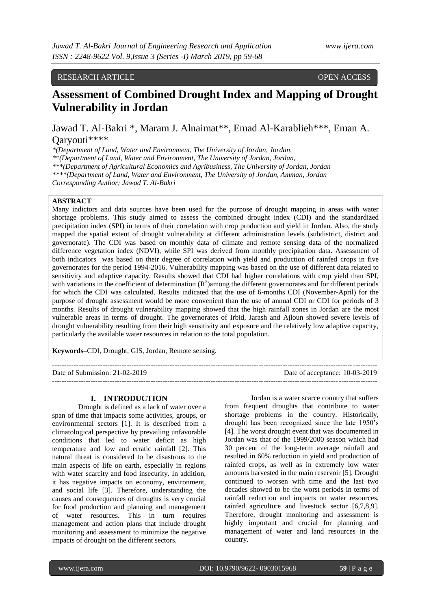# RESEARCH ARTICLE **CONTRACT ARTICLE**

# **Assessment of Combined Drought Index and Mapping of Drought Vulnerability in Jordan**

Jawad T. Al-Bakri \*, Maram J. Alnaimat\*\*, Emad Al-Karablieh\*\*\*, Eman A. Qaryouti\*\*\*\*

*\*(Department of Land, Water and Environment, The University of Jordan, Jordan,* 

*\*\*(Department of Land, Water and Environment, The University of Jordan, Jordan,* 

*\*\*\*(Department of Agricultural Economics and Agribusiness, The University of Jordan, Jordan*

*\*\*\*\*(Department of Land, Water and Environment, The University of Jordan, Amman, Jordan*

*Corresponding Author; Jawad T. Al-Bakri*

#### **ABSTRACT**

Many indictors and data sources have been used for the purpose of drought mapping in areas with water shortage problems. This study aimed to assess the combined drought index (CDI) and the standardized precipitation index (SPI) in terms of their correlation with crop production and yield in Jordan. Also, the study mapped the spatial extent of drought vulnerability at different administration levels (subdistrict, district and governorate). The CDI was based on monthly data of climate and remote sensing data of the normalized difference vegetation index (NDVI), while SPI was derived from monthly precipitation data. Assessment of both indicators was based on their degree of correlation with yield and production of rainfed crops in five governorates for the period 1994-2016. Vulnerability mapping was based on the use of different data related to sensitivity and adaptive capacity. Results showed that CDI had higher correlations with crop yield than SPI, with variations in the coefficient of determination  $(R^2)$ among the different governorates and for different periods for which the CDI was calculated. Results indicated that the use of 6-months CDI (November-April) for the purpose of drought assessment would be more convenient than the use of annual CDI or CDI for periods of 3 months. Results of drought vulnerability mapping showed that the high rainfall zones in Jordan are the most vulnerable areas in terms of drought. The governorates of Irbid, Jarash and Ajloun showed severe levels of drought vulnerability resulting from their high sensitivity and exposure and the relatively low adaptive capacity, particularly the available water resources in relation to the total population.

**Keywords–**CDI, Drought, GIS, Jordan, Remote sensing.

#### **I. INTRODUCTION**

Drought is defined as a lack of water over a span of time that impacts some activities, groups, or environmental sectors [1]. It is described from a climatological perspective by prevailing unfavorable conditions that led to water deficit as high temperature and low and erratic rainfall [2]. This natural threat is considered to be disastrous to the main aspects of life on earth, especially in regions with water scarcity and food insecurity. In addition, it has negative impacts on economy, environment, and social life [3]. Therefore, understanding the causes and consequences of droughts is very crucial for food production and planning and management of water resources. This in turn requires management and action plans that include drought monitoring and assessment to minimize the negative impacts of drought on the different sectors.

from frequent droughts that contribute to water shortage problems in the country. Historically, drought has been recognized since the late 1950's [4]. The worst drought event that was documented in Jordan was that of the 1999/2000 season which had 30 percent of the long-term average rainfall and resulted in 60% reduction in yield and production of rainfed crops, as well as in extremely low water amounts harvested in the main reservoir [5]. Drought continued to worsen with time and the last two decades showed to be the worst periods in terms of rainfall reduction and impacts on water resources, rainfed agriculture and livestock sector [6,7,8,9]. Therefore, drought monitoring and assessment is highly important and crucial for planning and management of water and land resources in the country.

---------------------------------------------------------------------------------------------------------------------------------------

Date of Submission: 21-02-2019 Date of acceptance: 10-03-2019

Jordan is a water scarce country that suffers

# ---------------------------------------------------------------------------------------------------------------------------------------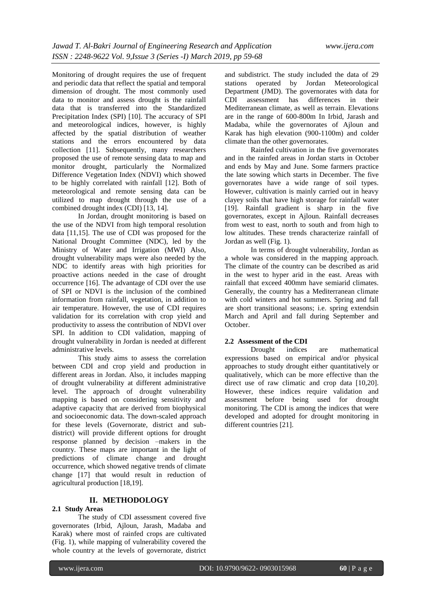Monitoring of drought requires the use of frequent and periodic data that reflect the spatial and temporal dimension of drought. The most commonly used data to monitor and assess drought is the rainfall data that is transferred into the Standardized Precipitation Index (SPI) [10]. The accuracy of SPI and meteorological indices, however, is highly affected by the spatial distribution of weather stations and the errors encountered by data collection [11]. Subsequently, many researchers proposed the use of remote sensing data to map and monitor drought, particularly the Normalized Difference Vegetation Index (NDVI) which showed to be highly correlated with rainfall [12]. Both of meteorological and remote sensing data can be utilized to map drought through the use of a combined drought index (CDI) [13, 14].

In Jordan, drought monitoring is based on the use of the NDVI from high temporal resolution data [11,15]. The use of CDI was proposed for the National Drought Committee (NDC), led by the Ministry of Water and Irrigation (MWI) Also, drought vulnerability maps were also needed by the NDC to identify areas with high priorities for proactive actions needed in the case of drought occurrence [16]. The advantage of CDI over the use of SPI or NDVI is the inclusion of the combined information from rainfall, vegetation, in addition to air temperature. However, the use of CDI requires validation for its correlation with crop yield and productivity to assess the contribution of NDVI over SPI. In addition to CDI validation, mapping of drought vulnerability in Jordan is needed at different administrative levels.

This study aims to assess the correlation between CDI and crop yield and production in different areas in Jordan. Also, it includes mapping of drought vulnerability at different administrative level. The approach of drought vulnerability mapping is based on considering sensitivity and adaptive capacity that are derived from biophysical and socioeconomic data. The down-scaled approach for these levels (Governorate, district and subdistrict) will provide different options for drought response planned by decision –makers in the country. These maps are important in the light of predictions of climate change and drought occurrence, which showed negative trends of climate change [17] that would result in reduction of agricultural production [18,19].

### **II. METHODOLOGY**

### **2.1 Study Areas**

The study of CDI assessment covered five governorates (Irbid, Ajloun, Jarash, Madaba and Karak) where most of rainfed crops are cultivated (Fig. 1), while mapping of vulnerability covered the whole country at the levels of governorate, district

and subdistrict. The study included the data of 29 stations operated by Jordan Meteorological Department (JMD). The governorates with data for CDI assessment has differences in their Mediterranean climate, as well as terrain. Elevations are in the range of 600-800m In Irbid, Jarash and Madaba, while the governorates of Ajloun and Karak has high elevation (900-1100m) and colder climate than the other governorates.

Rainfed cultivation in the five governorates and in the rainfed areas in Jordan starts in October and ends by May and June. Some farmers practice the late sowing which starts in December. The five governorates have a wide range of soil types. However, cultivation is mainly carried out in heavy clayey soils that have high storage for rainfall water [19]. Rainfall gradient is sharp in the five governorates, except in Ajloun. Rainfall decreases from west to east, north to south and from high to low altitudes. These trends characterize rainfall of Jordan as well (Fig. 1).

In terms of drought vulnerability, Jordan as a whole was considered in the mapping approach. The climate of the country can be described as arid in the west to hyper arid in the east. Areas with rainfall that exceed 400mm have semiarid climates. Generally, the country has a Mediterranean climate with cold winters and hot summers. Spring and fall are short transitional seasons; i.e. spring extendsin March and April and fall during September and October.

#### **2.2 Assessment of the CDI**

Drought indices are mathematical expressions based on empirical and/or physical approaches to study drought either quantitatively or qualitatively, which can be more effective than the direct use of raw climatic and crop data [10,20]. However, these indices require validation and assessment before being used for drought monitoring. The CDI is among the indices that were developed and adopted for drought monitoring in different countries [21].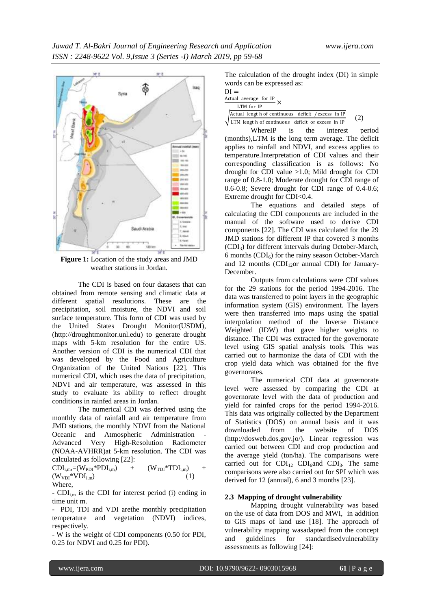

**Figure 1:** Location of the study areas and JMD weather stations in Jordan.

The CDI is based on four datasets that can obtained from remote sensing and climatic data at different spatial resolutions. These are the precipitation, soil moisture, the NDVI and soil surface temperature. This form of CDI was used by the United States Drought Monitor(USDM), (http://droughtmonitor.unl.edu) to generate drought maps with 5-km resolution for the entire US. Another version of CDI is the numerical CDI that was developed by the Food and Agriculture Organization of the United Nations [22]. This numerical CDI, which uses the data of precipitation, NDVI and air temperature, was assessed in this study to evaluate its ability to reflect drought conditions in rainfed areas in Jordan.

The numerical CDI was derived using the monthly data of rainfall and air temperature from JMD stations, the monthly NDVI from the National Oceanic and Atmospheric Administration - Advanced Very High-Resolution Radiometer (NOAA-AVHRR)at 5-km resolution. The CDI was calculated as following [22]:

 $CDI_{i,m}=(W_{PDI}*PDI_{i,m})$  +  $(W_{TDI}*TDI_{i,m})$  +  $(W_{VDI} * VDI_{i,m})$  (1) Where,

-  $CDI_{i,m}$  is the CDI for interest period (i) ending in time unit m.

- PDI, TDI and VDI arethe monthly precipitation temperature and vegetation (NDVI) indices, respectively.

- W is the weight of CDI components (0.50 for PDI, 0.25 for NDVI and 0.25 for PDI).

The calculation of the drought index (DI) in simple words can be expressed as:

| $DI =$     |                        |  |  |  |  |
|------------|------------------------|--|--|--|--|
|            | Actual average for IP. |  |  |  |  |
| LTM for IP |                        |  |  |  |  |

 $\sqrt{\frac{2.264a}{LTM}}$  lengt h of continuous deficit or excess in IP Actual lengt h of continuous deficit / excess in IP (2)

WhereIP is the interest period (months),LTM is the long term average. The deficit applies to rainfall and NDVI, and excess applies to temperature.Interpretation of CDI values and their corresponding classification is as follows: No drought for CDI value >1.0; Mild drought for CDI range of 0.8-1.0; Moderate drought for CDI range of 0.6-0.8; Severe drought for CDI range of 0.4-0.6; Extreme drought for CDI<0.4.

The equations and detailed steps of calculating the CDI components are included in the manual of the software used to derive CDI components [22]. The CDI was calculated for the 29 JMD stations for different IP that covered 3 months (CDI3) for different intervals during October-March, 6 months  $(CDI<sub>6</sub>)$  for the rainy season October-March and 12 months  $(CDI<sub>12</sub>or annual CDI)$  for January-December.

Outputs from calculations were CDI values for the 29 stations for the period 1994-2016. The data was transferred to point layers in the geographic information system (GIS) environment. The layers were then transferred into maps using the spatial interpolation method of the Inverse Distance Weighted (IDW) that gave higher weights to distance. The CDI was extracted for the governorate level using GIS spatial analysis tools. This was carried out to harmonize the data of CDI with the crop yield data which was obtained for the five governorates.

The numerical CDI data at governorate level were assessed by comparing the CDI at governorate level with the data of production and yield for rainfed crops for the period 1994-2016. This data was originally collected by the Department of Statistics (DOS) on annual basis and it was downloaded from the website of DOS (http://dosweb.dos.gov.jo/). Linear regression was carried out between CDI and crop production and the average yield (ton/ha). The comparisons were carried out for  $CDI_{12}$  CDI<sub>6</sub>and CDI<sub>3</sub>. The same comparisons were also carried out for SPI which was derived for 12 (annual), 6 and 3 months [23].

#### **2.3 Mapping of drought vulnerability**

Mapping drought vulnerability was based on the use of data from DOS and MWI, in addition to GIS maps of land use [18]. The approach of vulnerability mapping wasadapted from the concept and guidelines for standardisedvulnerability assessments as following [24]: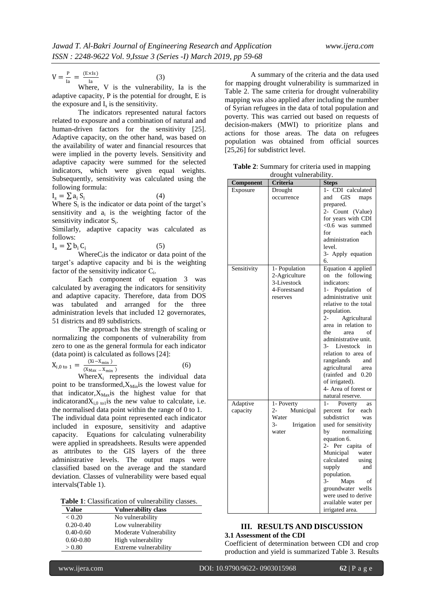$(4)$ 

$$
V = \frac{P}{Ia} = \frac{(ExIs)}{Ia}
$$
 (3)

Where, V is the vulnerability, Ia is the adaptive capacity, P is the potential for drought, E is the exposure and  $I_s$  is the sensitivity.

The indicators represented natural factors related to exposure and a combination of natural and human-driven factors for the sensitivity [25]. Adaptive capacity, on the other hand, was based on the availability of water and financial resources that were implied in the poverty levels. Sensitivity and adaptive capacity were summed for the selected indicators, which were given equal weights. Subsequently, sensitivity was calculated using the following formula:

 $I_s = \sum a_i S_i$ 

Where  $S_i$  is the indicator or data point of the target's sensitivity and  $a_i$  is the weighting factor of the sensitivity indicator  $S_i$ .

Similarly, adaptive capacity was calculated as follows:

 $I_a = \sum b_i C_i$ (5)

 $WhereC<sub>i</sub>$  is the indicator or data point of the target's adaptive capacity and bi is the weighting factor of the sensitivity indicator  $C_i$ .

Each component of equation 3 was calculated by averaging the indicators for sensitivity and adaptive capacity. Therefore, data from DOS was tabulated and arranged for the three administration levels that included 12 governorates, 51 districts and 89 subdistricts.

The approach has the strength of scaling or normalizing the components of vulnerability from zero to one as the general formula for each indicator (data point) is calculated as follows [24]:

$$
X_{i,0 \text{ to } 1} = \frac{(Xi - X_{\min})}{(X_{\max} - X_{\min})}
$$
 (6)

Where $X_i$  represents the individual data point to be transformed,  $X_{\text{Min}}$  is the lowest value for that indicator, $X_{\text{Max}}$  is the highest value for that indicatorand $X_{i,0}$  to is the new value to calculate, i.e. the normalised data point within the range of 0 to 1. The individual data point represented each indicator included in exposure, sensitivity and adaptive capacity. Equations for calculating vulnerability were applied in spreadsheets. Results were appended as attributes to the GIS layers of the three administrative levels. The output maps were classified based on the average and the standard deviation. Classes of vulnerability were based equal intervals(Table 1).

**Table 1**: Classification of vulnerability classes.

| Value         | <b>Vulnerability class</b> |
|---------------|----------------------------|
| < 0.20        | No vulnerability           |
| $0.20 - 0.40$ | Low vulnerability          |
| $0.40 - 0.60$ | Moderate Vulnerability     |
| $0.60 - 0.80$ | High vulnerability         |
| > 0.80        | Extreme vulnerability      |

A summary of the criteria and the data used for mapping drought vulnerability is summarized in Table 2. The same criteria for drought vulnerability mapping was also applied after including the number of Syrian refugees in the data of total population and poverty. This was carried out based on requests of decision-makers (MWI) to prioritize plans and actions for those areas. The data on refugees population was obtained from official sources [25,26] for subdistrict level.

**Table 2**: Summary for criteria used in mapping drought vulnerability.

| Component   | Criteria                     | <b>Steps</b>                    |  |  |
|-------------|------------------------------|---------------------------------|--|--|
| Exposure    | Drought                      | 1- CDI calculated               |  |  |
|             | occurrence                   | GIS<br>and<br>maps              |  |  |
|             |                              | prepared.                       |  |  |
|             |                              | 2- Count (Value)                |  |  |
|             |                              | for years with CDI              |  |  |
|             |                              | $<$ 0.6 was summed              |  |  |
|             |                              | for<br>each                     |  |  |
|             |                              | administration                  |  |  |
|             |                              | level.                          |  |  |
|             |                              | 3- Apply equation               |  |  |
|             |                              | 6.                              |  |  |
| Sensitivity | 1- Population                | Equation 4 applied              |  |  |
|             | 2-Agriculture<br>3-Livestock | on the following<br>indicators: |  |  |
|             | 4-Forestsand                 | 1- Population of                |  |  |
|             | reserves                     | administrative unit             |  |  |
|             |                              | relative to the total           |  |  |
|             |                              | population.                     |  |  |
|             |                              | $2 -$<br>Agricultural           |  |  |
|             |                              | area in relation to             |  |  |
|             |                              | of<br>the<br>area               |  |  |
|             |                              | administrative unit.            |  |  |
|             |                              | 3- Livestock<br>in              |  |  |
|             |                              | relation to area of             |  |  |
|             |                              | rangelands<br>and               |  |  |
|             |                              | agricultural area               |  |  |
|             |                              | (rainfed and 0.20)              |  |  |
|             |                              | of irrigated).                  |  |  |
|             |                              | 4- Area of forest or            |  |  |
|             |                              | natural reserve.                |  |  |
| Adaptive    | 1- Poverty                   | $1-$<br>Poverty<br>as           |  |  |
| capacity    | Municipal<br>2-              | for<br>each<br>percent          |  |  |
|             | Water                        | subdistrict<br>was              |  |  |
|             | 3-<br>Irrigation             | used for sensitivity            |  |  |
|             | water                        | by normalizing                  |  |  |
|             |                              | equation 6.<br>2- Per capita of |  |  |
|             |                              | Municipal<br>water              |  |  |
|             |                              | calculated<br>using             |  |  |
|             |                              | supply<br>and                   |  |  |
|             |                              | population.                     |  |  |
|             |                              | 3-<br>Maps<br>of                |  |  |
|             |                              | groundwater wells               |  |  |
|             |                              | were used to derive             |  |  |
|             |                              | available water per             |  |  |
|             |                              | irrigated area.                 |  |  |

# **III. RESULTS AND DISCUSSION**

## **3.1 Assessment of the CDI**

Coefficient of determination between CDI and crop production and yield is summarized Table 3. Results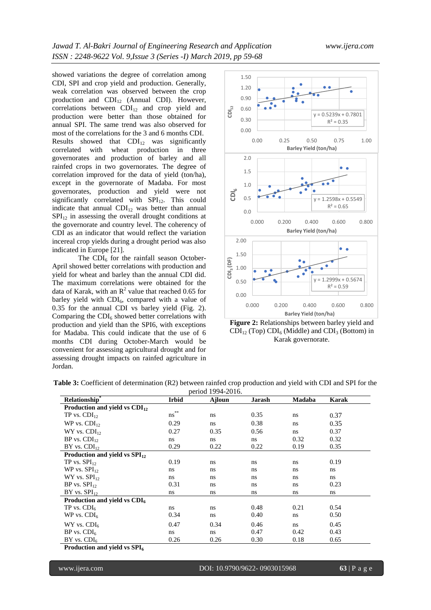showed variations the degree of correlation among CDI, SPI and crop yield and production. Generally, weak correlation was observed between the crop production and  $CDI_{12}$  (Annual CDI). However, correlations between  $CDI<sub>12</sub>$  and crop yield and production were better than those obtained for annual SPI. The same trend was also observed for most of the correlations for the 3 and 6 months CDI. Results showed that  $CDI_{12}$  was significantly correlated with wheat production in three governorates and production of barley and all rainfed crops in two governorates. The degree of correlation improved for the data of yield (ton/ha), except in the governorate of Madaba. For most governorates, production and yield were not significantly correlated with SPI<sub>12</sub>. This could indicate that annual  $CDI<sub>12</sub>$  was better than annual  $SPI<sub>12</sub>$  in assessing the overall drought conditions at the governorate and country level. The coherency of CDI as an indicator that would reflect the variation incereal crop yields during a drought period was also indicated in Europe [21].

The  $CDI<sub>6</sub>$  for the rainfall season October-April showed better correlations with production and yield for wheat and barley than the annual CDI did. The maximum correlations were obtained for the data of Karak, with an  $R^2$  value that reached 0.65 for barley yield with  $CDI<sub>6</sub>$ , compared with a value of 0.35 for the annual CDI vs barley yield (Fig. 2). Comparing the  $CDI<sub>6</sub>$  showed better correlations with production and yield than the SPI6, with exceptions for Madaba. This could indicate that the use of 6 months CDI during October-March would be convenient for assessing agricultural drought and for assessing drought impacts on rainfed agriculture in Jordan.



**Figure 2:** Relationships between barley yield and  $CDI<sub>12</sub>$  (Top)  $CDI<sub>6</sub>$  (Middle) and  $CDI<sub>3</sub>$  (Bottom) in Karak governorate.

| period 1994-2016.                  |                  |        |        |        |       |
|------------------------------------|------------------|--------|--------|--------|-------|
| Relationship*                      | <b>Irbid</b>     | Ajloun | Jarash | Madaba | Karak |
| Production and yield vs $CDI12$    |                  |        |        |        |       |
| TP vs. $CDI_{12}$                  | $\ast\ast$<br>ns | ns.    | 0.35   | ns     | 0.37  |
| WP vs. $CDI_{12}$                  | 0.29             | ns     | 0.38   | ns     | 0.35  |
| $WY$ vs. $CDI_{12}$                | 0.27             | 0.35   | 0.56   | ns.    | 0.37  |
| $BP$ vs. $CDI_{12}$                | ns.              | ns     | ns     | 0.32   | 0.32  |
| $BY$ vs. $CDI_{12}$                | 0.29             | 0.22   | 0.22   | 0.19   | 0.35  |
| Production and yield vs $SPI_{12}$ |                  |        |        |        |       |
| TP vs. SPI <sub>12</sub>           | 0.19             | ns     | ns     | ns     | 0.19  |
| WP vs. $SPI_{12}$                  | ns.              | ns.    | ns     | ns     | ns    |
| $WY$ vs. $SPI_{12}$                | ns.              | ns     | ns     | ns     | ns    |
| $BP$ vs. $SPI_{12}$                | 0.31             | ns.    | ns     | ns     | 0.23  |
| $BY$ vs. $SPI_{12}$                | ns.              | ns     | ns     | ns     | ns    |
| Production and yield vs $CDI6$     |                  |        |        |        |       |
| TP vs. $CDI6$                      | ns.              | ns     | 0.48   | 0.21   | 0.54  |
| WP vs. $CDI6$                      | 0.34             | ns.    | 0.40   | ns     | 0.50  |
| $WY$ vs. $CDI6$                    | 0.47             | 0.34   | 0.46   | ns.    | 0.45  |
| $BP$ vs. $CDI6$                    | ns.              | ns     | 0.47   | 0.42   | 0.43  |
| $BY$ vs. $CDI6$                    | 0.26             | 0.26   | 0.30   | 0.18   | 0.65  |
| Production and vield vs $SPI6$     |                  |        |        |        |       |

**Table 3:** Coefficient of determination (R2) between rainfed crop production and yield with CDI and SPI for the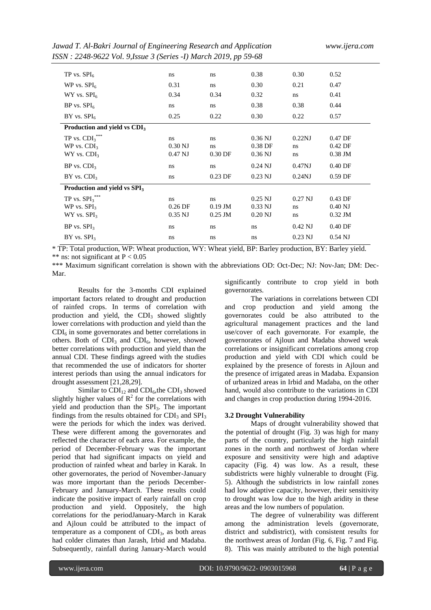*Jawad T. Al-Bakri Journal of Engineering Research and Application www.ijera.com ISSN : 2248-9622 Vol. 9,Issue 3 (Series -I) March 2019, pp 59-68*

| TP vs. $SPI6$                                                      | ns                           | ns                           | 0.38                                | 0.30                    | 0.52                                |
|--------------------------------------------------------------------|------------------------------|------------------------------|-------------------------------------|-------------------------|-------------------------------------|
| WP vs. $SPI6$                                                      | 0.31                         | ns                           | 0.30                                | 0.21                    | 0.47                                |
| $WY$ vs. $SPI_6$                                                   | 0.34                         | 0.34                         | 0.32                                | ns                      | 0.41                                |
| $BP$ vs. $SPI6$                                                    | ns                           | ns                           | 0.38                                | 0.38                    | 0.44                                |
| $BY$ vs. $SPI6$                                                    | 0.25                         | 0.22                         | 0.30                                | 0.22                    | 0.57                                |
| Production and yield vs CDI <sub>3</sub>                           |                              |                              |                                     |                         |                                     |
| TP vs. $\mathrm{CDI_3}^{***}$<br>WP vs. $CDI3$<br>$WY$ vs. $CDI3$  | ns.<br>$0.30$ NJ<br>0.47 NJ  | ns<br>ns<br>$0.30$ DF        | $0.36$ NJ<br>0.38 DF<br>$0.36$ NJ   | 0.22NJ<br>ns.<br>ns     | 0.47 DF<br>0.42 DF<br>$0.38$ JM     |
| $BP$ vs. $CDI3$                                                    | ns                           | ns                           | $0.24$ NJ                           | 0.47 <sub>NJ</sub>      | 0.40 DF                             |
| $BY$ vs. $CDI3$                                                    | ns                           | $0.23$ DF                    | $0.23$ NJ                           | $0.24$ NJ               | $0.59$ DF                           |
| Production and yield vs SPI <sub>3</sub>                           |                              |                              |                                     |                         |                                     |
| TP vs. $\mathbf{SPI_3}^{***}$<br>WP vs. $SPI3$<br>$WY$ vs. $SPI_3$ | ns<br>$0.26$ DF<br>$0.35$ NJ | ns<br>$0.19$ JM<br>$0.25$ JM | $0.25$ NJ<br>$0.33$ NJ<br>$0.20$ NJ | $0.27$ NJ<br>ns.<br>ns. | $0.43$ DF<br>$0.40$ NJ<br>$0.32$ JM |
| $BP$ vs. $SPI3$                                                    | ns                           | ns                           | ns                                  | $0.42$ NJ               | $0.40$ DF                           |
| $BY$ vs. $SPI3$                                                    | ns.                          | ns                           | ns.                                 | $0.23$ NJ               | $0.54$ NJ                           |

\* TP: Total production, WP: Wheat production, WY: Wheat yield, BP: Barley production, BY: Barley yield. \*\* ns: not significant at  $P < 0.05$ 

\*\*\* Maximum significant correlation is shown with the abbreviations OD: Oct-Dec; NJ: Nov-Jan; DM: Dec-Mar.

Results for the 3-months CDI explained important factors related to drought and production of rainfed crops. In terms of correlation with production and yield, the  $CDI<sub>3</sub>$  showed slightly lower correlations with production and yield than the  $CDI<sub>6</sub>$  in some governorates and better correlations in others. Both of  $CDI<sub>3</sub>$  and  $CDI<sub>6</sub>$ , however, showed better correlations with production and yield than the annual CDI. These findings agreed with the studies that recommended the use of indicators for shorter interest periods than using the annual indicators for drought assessment [21,28,29].

Similar to  $CDI_{12}$  and  $CDI_6$ , the  $CDI_3$  showed slightly higher values of  $R^2$  for the correlations with yield and production than the  $SPI<sub>3</sub>$ . The important findings from the results obtained for  $CDI<sub>3</sub>$  and  $SPI<sub>3</sub>$ were the periods for which the index was derived. These were different among the governorates and reflected the character of each area. For example, the period of December-February was the important period that had significant impacts on yield and production of rainfed wheat and barley in Karak. In other governorates, the period of November-January was more important than the periods December-February and January-March. These results could indicate the positive impact of early rainfall on crop production and yield. Oppositely, the high correlations for the periodJanuary-March in Karak and Ajloun could be attributed to the impact of temperature as a component of  $CDI<sub>3</sub>$ , as both areas had colder climates than Jarash, Irbid and Madaba. Subsequently, rainfall during January-March would

significantly contribute to crop yield in both governorates.

The variations in correlations between CDI and crop production and yield among the governorates could be also attributed to the agricultural management practices and the land use/cover of each governorate. For example, the governorates of Ajloun and Madaba showed weak correlations or insignificant correlations among crop production and yield with CDI which could be explained by the presence of forests in Ajloun and the presence of irrigated areas in Madaba. Expansion of urbanized areas in Irbid and Madaba, on the other hand, would also contribute to the variations in CDI and changes in crop production during 1994-2016.

#### **3.2 Drought Vulnerability**

Maps of drought vulnerability showed that the potential of drought (Fig. 3) was high for many parts of the country, particularly the high rainfall zones in the north and northwest of Jordan where exposure and sensitivity were high and adaptive capacity (Fig. 4) was low. As a result, these subdistricts were highly vulnerable to drought (Fig. 5). Although the subdistricts in low rainfall zones had low adaptive capacity, however, their sensitivity to drought was low due to the high aridity in these areas and the low numbers of population.

The degree of vulnerability was different among the administration levels (governorate, district and subdistrict), with consistent results for the northwest areas of Jordan (Fig. 6, Fig. 7 and Fig. 8). This was mainly attributed to the high potential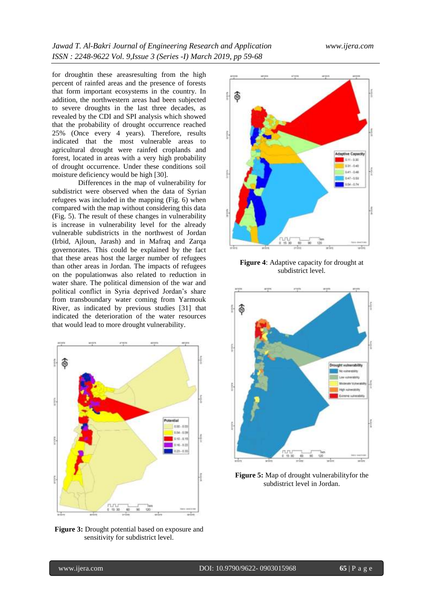for droughtin these areasresulting from the high percent of rainfed areas and the presence of forests that form important ecosystems in the country. In addition, the northwestern areas had been subjected to severe droughts in the last three decades, as revealed by the CDI and SPI analysis which showed that the probability of drought occurrence reached 25% (Once every 4 years). Therefore, results indicated that the most vulnerable areas to agricultural drought were rainfed croplands and forest, located in areas with a very high probability of drought occurrence. Under these conditions soil moisture deficiency would be high [30].

Differences in the map of vulnerability for subdistrict were observed when the data of Syrian refugees was included in the mapping (Fig. 6) when compared with the map without considering this data (Fig. 5). The result of these changes in vulnerability is increase in vulnerability level for the already vulnerable subdistricts in the northwest of Jordan (Irbid, Ajloun, Jarash) and in Mafraq and Zarqa governorates. This could be explained by the fact that these areas host the larger number of refugees than other areas in Jordan. The impacts of refugees on the populationwas also related to reduction in water share. The political dimension of the war and political conflict in Syria deprived Jordan's share from transboundary water coming from Yarmouk River, as indicated by previous studies [31] that indicated the deterioration of the water resources that would lead to more drought vulnerability.



**Figure 3:** Drought potential based on exposure and sensitivity for subdistrict level.



**Figure 4**: Adaptive capacity for drought at subdistrict level.



**Figure 5:** Map of drought vulnerabilityfor the subdistrict level in Jordan.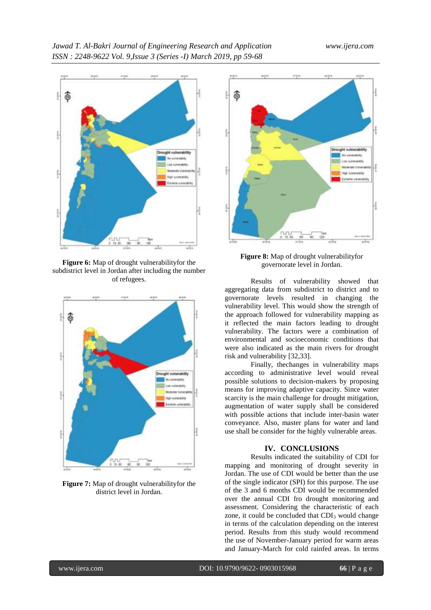

**Figure 6:** Map of drought vulnerabilityfor the subdistrict level in Jordan after including the number of refugees.



**Figure 7:** Map of drought vulnerabilityfor the district level in Jordan.



**Figure 8:** Map of drought vulnerabilityfor governorate level in Jordan.

Results of vulnerability showed that aggregating data from subdistrict to district and to governorate levels resulted in changing the vulnerability level. This would show the strength of the approach followed for vulnerability mapping as it reflected the main factors leading to drought vulnerability. The factors were a combination of environmental and socioeconomic conditions that were also indicated as the main rivers for drought risk and vulnerability [32,33].

Finally, thechanges in vulnerability maps according to administrative level would reveal possible solutions to decision-makers by proposing means for improving adaptive capacity. Since water scarcity is the main challenge for drought mitigation, augmentation of water supply shall be considered with possible actions that include inter-basin water conveyance. Also, master plans for water and land use shall be consider for the highly vulnerable areas.

#### **IV. CONCLUSIONS**

Results indicated the suitability of CDI for mapping and monitoring of drought severity in Jordan. The use of CDI would be better than the use of the single indicator (SPI) for this purpose. The use of the 3 and 6 months CDI would be recommended over the annual CDI fro drought monitoring and assessment. Considering the characteristic of each zone, it could be concluded that  $CDI<sub>3</sub>$  would change in terms of the calculation depending on the interest period. Results from this study would recommend the use of November-January period for warm areas and January-March for cold rainfed areas. In terms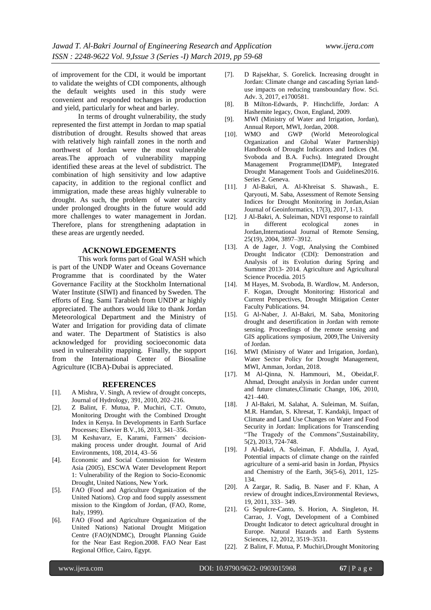of improvement for the CDI, it would be important to validate the weights of CDI components, although the default weights used in this study were convenient and responded tochanges in production and yield, particularly for wheat and barley.

In terms of drought vulnerability, the study represented the first attempt in Jordan to map spatial distribution of drought. Results showed that areas with relatively high rainfall zones in the north and northwest of Jordan were the most vulnerable areas.The approach of vulnerability mapping identified these areas at the level of subdistrict. The combination of high sensitivity and low adaptive capacity, in addition to the regional conflict and immigration, made these areas highly vulnerable to drought. As such, the problem of water scarcity under prolonged droughts in the future would add more challenges to water management in Jordan. Therefore, plans for strengthening adaptation in these areas are urgently needed.

### **ACKNOWLEDGEMENTS**

This work forms part of Goal WASH which is part of the UNDP Water and Oceans Governance Programme that is coordinated by the Water Governance Facility at the Stockholm International Water Institute (SIWI) and financed by Sweden. The efforts of Eng. Sami Tarabieh from UNDP ar highly appreciated. The authors would like to thank Jordan Meteorological Department and the Ministry of Water and Irrigation for providing data of climate and water. The Department of Statistics is also acknowledged for providing socioeconomic data used in vulnerability mapping. Finally, the support from the International Center of Biosaline Agriculture (ICBA)-Dubai is appreciated.

#### **REFERENCES**

- [1]. A Mishra, V. Singh, A review of drought concepts, Journal of Hydrology, 391, 2010, 202–216.
- [2]. Z Balint, F. Mutua, P. Muchiri, C.T. Omuto, Monitoring Drought with the Combined Drought Index in Kenya. In Developments in Earth Surface Processes; Elsevier B.V.,16, 2013, 341–356.
- [3]. M Keshavarz, E, Karami, Farmers' decisionmaking process under drought. Journal of Arid Environments, 108, 2014, 43–56
- [4]. Economic and Social Commission for Western Asia (2005), ESCWA Water Development Report 1: Vulnerability of the Region to Socio-Economic Drought, United Nations, New York.
- [5]. FAO (Food and Agriculture Organization of the United Nations). Crop and food supply assessment mission to the Kingdom of Jordan, (FAO, Rome, Italy, 1999).
- [6]. FAO (Food and Agriculture Organization of the United Nations) National Drought Mitigation Centre (FAO)(NDMC), Drought Planning Guide for the Near East Region.2008. FAO Near East Regional Office, Cairo, Egypt.
- [7]. D Rajsekhar, S. Gorelick. Increasing drought in Jordan: Climate change and cascading Syrian landuse impacts on reducing transboundary flow. Sci. Adv. 3, 2017, e1700581.
- [8]. B Milton-Edwards, P. Hinchcliffe, Jordan: A Hashemite legacy, Oxon, England, 2009.
- [9]. MWI (Ministry of Water and Irrigation, Jordan), Annual Report, MWI, Jordan, 2008.
- [10]. WMO and GWP (World Meteorological Organization and Global Water Partnership) Handbook of Drought Indicators and Indices (M. Svoboda and B.A. Fuchs). Integrated Drought Management Programme(IDMP), Integrated Drought Management Tools and Guidelines2016. Series 2. Geneva.
- [11]. J Al-Bakri, A. Al-Khreisat S. Shawash., E. Qaryouti, M. Saba, Assessment of Remote Sensing Indices for Drought Monitoring in Jordan,Asian Journal of Geoinformatics, 17(3), 2017, 1-13.
- [12]. J Al-Bakri, A. Suleiman, NDVI response to rainfall in different ecological zones in Jordan,International Journal of Remote Sensing, 25(19), 2004, 3897–3912.
- [13]. A de Jager, J. Vogt, Analysing the Combined Drought Indicator (CDI): Demonstration and Analysis of its Evolution during Spring and Summer 2013- 2014. Agriculture and Agricultural Science Procedia. 2015
- [14]. M Hayes, M. Svoboda, B. Wardlow, M. Anderson, F. Kogan, Drought Monitoring: Historical and Current Perspectives, Drought Mitigation Center Faculty Publications. 94.
- [15]. G Al-Naber, J. Al-Bakri, M. Saba, Monitoring drought and desertification in Jordan with remote sensing. Proceedings of the remote sensing and GIS applications symposium, 2009,The University of Jordan.
- [16]. MWI (Ministry of Water and Irrigation, Jordan), Water Sector Policy for Drought Management, MWI, Amman, Jordan, 2018.
- [17]. M Al-Qinna, N. Hammouri, M., Obeidat,F. Ahmad, Drought analysis in Jordan under current and future climates,Climatic Change, 106, 2010, 421–440.
- [18]. J Al-Bakri, M. Salahat, A. Suleiman, M. Suifan, M.R. Hamdan, S. Khresat, T. Kandakji, Impact of Climate and Land Use Changes on Water and Food Security in Jordan: Implications for Transcending "The Tragedy of the Commons",Sustainability, 5(2), 2013, 724-748.
- [19]. J Al-Bakri, A. Suleiman, F. Abdulla, J. Ayad, Potential impacts of climate change on the rainfed agriculture of a semi-arid basin in Jordan, Physics and Chemistry of the Earth, 36(5-6), 2011, 125- 134.
- [20]. A Zargar, R. Sadiq, B. Naser and F. Khan, A review of drought indices,Environmental Reviews, 19, 2011, 333– 349.
- [21]. G Sepulcre-Canto, S. Horion, A. Singleton, H. Carrao, J. Vogt, Development of a Combined Drought Indicator to detect agricultural drought in Europe. Natural Hazards and Earth Systems Sciences, 12, 2012, 3519–3531.
- [22]. Z Balint, F. Mutua, P. Muchiri,Drought Monitoring